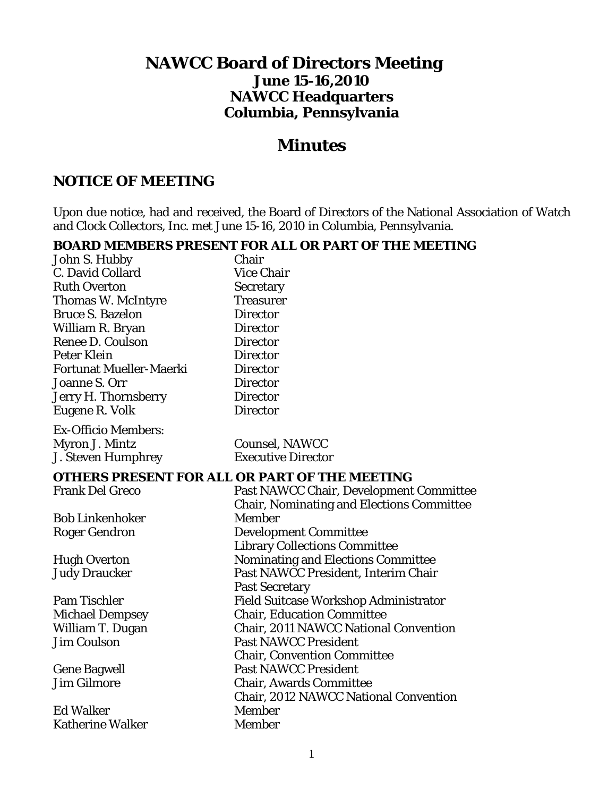# **NAWCC Board of Directors Meeting June 15-16,2010 NAWCC Headquarters Columbia, Pennsylvania**

# *Minutes*

# **NOTICE OF MEETING**

Upon due notice, had and received, the Board of Directors of the National Association of Watch and Clock Collectors, Inc. met June 15-16, 2010 in Columbia, Pennsylvania.

#### **BOARD MEMBERS PRESENT FOR ALL OR PART OF THE MEETING**   $J_{\text{obs}}$  C. Hubb

| John S. Hubby                               | Chair                                                                     |
|---------------------------------------------|---------------------------------------------------------------------------|
| C. David Collard                            | <b>Vice Chair</b>                                                         |
| <b>Ruth Overton</b>                         | <b>Secretary</b>                                                          |
| Thomas W. McIntyre                          | <b>Treasurer</b>                                                          |
| <b>Bruce S. Bazelon</b>                     | <b>Director</b>                                                           |
| William R. Bryan                            | <b>Director</b>                                                           |
| Renee D. Coulson                            | <b>Director</b>                                                           |
| <b>Peter Klein</b>                          | <b>Director</b>                                                           |
| <b>Fortunat Mueller-Maerki</b>              | <b>Director</b>                                                           |
| Joanne S. Orr                               | <b>Director</b>                                                           |
| Jerry H. Thornsberry                        | <b>Director</b>                                                           |
| Eugene R. Volk                              | <b>Director</b>                                                           |
| <b>Ex-Officio Members:</b>                  |                                                                           |
| Myron J. Mintz                              | <b>Counsel, NAWCC</b>                                                     |
| <b>J. Steven Humphrey</b>                   | <b>Executive Director</b>                                                 |
|                                             |                                                                           |
|                                             | OTHERS PRESENT FOR ALL OR PART OF THE MEETING                             |
| <b>Frank Del Greco</b>                      | Past NAWCC Chair, Development Committee                                   |
|                                             | <b>Chair, Nominating and Elections Committee</b>                          |
| <b>Bob Linkenhoker</b>                      | Member                                                                    |
| <b>Roger Gendron</b>                        | <b>Development Committee</b>                                              |
|                                             | <b>Library Collections Committee</b>                                      |
| <b>Hugh Overton</b><br><b>Judy Draucker</b> | Nominating and Elections Committee<br>Past NAWCC President, Interim Chair |
|                                             | <b>Past Secretary</b>                                                     |
| Pam Tischler                                | Field Suitcase Workshop Administrator                                     |
| <b>Michael Dempsey</b>                      | <b>Chair, Education Committee</b>                                         |
| William T. Dugan                            | Chair, 2011 NAWCC National Convention                                     |
| <b>Jim Coulson</b>                          | <b>Past NAWCC President</b>                                               |
|                                             | <b>Chair, Convention Committee</b>                                        |
| <b>Gene Bagwell</b>                         | <b>Past NAWCC President</b>                                               |
| <b>Jim Gilmore</b>                          | <b>Chair, Awards Committee</b>                                            |
|                                             | <b>Chair, 2012 NAWCC National Convention</b>                              |
| <b>Ed Walker</b>                            | <b>Member</b>                                                             |
| <b>Katherine Walker</b>                     | Member                                                                    |
|                                             |                                                                           |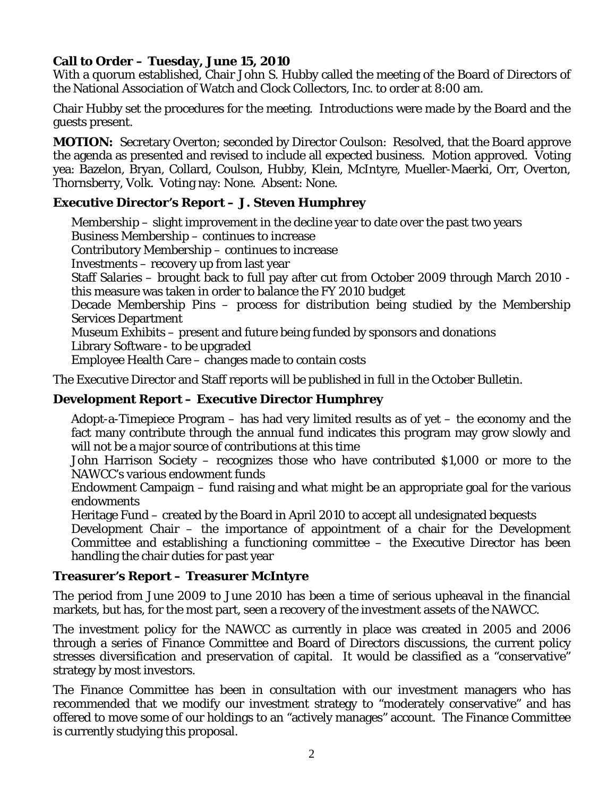# **Call to Order – Tuesday, June 15, 2010**

With a quorum established, Chair John S. Hubby called the meeting of the Board of Directors of the National Association of Watch and Clock Collectors, Inc. to order at 8:00 am.

Chair Hubby set the procedures for the meeting. Introductions were made by the Board and the guests present.

**MOTION:** Secretary Overton; seconded by Director Coulson: Resolved, that the Board approve the agenda as presented and revised to include all expected business. Motion approved. Voting yea: Bazelon, Bryan, Collard, Coulson, Hubby, Klein, McIntyre, Mueller-Maerki, Orr, Overton, Thornsberry, Volk. Voting nay: None. Absent: None.

#### **Executive Director's Report – J. Steven Humphrey**

 Membership – slight improvement in the decline year to date over the past two years Business Membership – continues to increase Contributory Membership – continues to increase Investments – recovery up from last year Staff Salaries – brought back to full pay after cut from October 2009 through March 2010 this measure was taken in order to balance the FY 2010 budget Decade Membership Pins – process for distribution being studied by the Membership Services Department Museum Exhibits – present and future being funded by sponsors and donations Library Software - to be upgraded Employee Health Care – changes made to contain costs The Executive Director and Staff reports will be published in full in the October *Bulletin.*

#### **Development Report – Executive Director Humphrey**

 Adopt-a-Timepiece Program – has had very limited results as of yet – the economy and the fact many contribute through the annual fund indicates this program may grow slowly and will not be a major source of contributions at this time

 John Harrison Society – recognizes those who have contributed \$1,000 or more to the NAWCC's various endowment funds

 Endowment Campaign – fund raising and what might be an appropriate goal for the various endowments

Heritage Fund – created by the Board in April 2010 to accept all undesignated bequests

 Development Chair – the importance of appointment of a chair for the Development Committee and establishing a functioning committee – the Executive Director has been handling the chair duties for past year

#### **Treasurer's Report – Treasurer McIntyre**

The period from June 2009 to June 2010 has been a time of serious upheaval in the financial markets, but has, for the most part, seen a recovery of the investment assets of the NAWCC.

The investment policy for the NAWCC as currently in place was created in 2005 and 2006 through a series of Finance Committee and Board of Directors discussions, the current policy stresses diversification and preservation of capital. It would be classified as a "conservative" strategy by most investors.

The Finance Committee has been in consultation with our investment managers who has recommended that we modify our investment strategy to "moderately conservative" and has offered to move some of our holdings to an "actively manages" account. The Finance Committee is currently studying this proposal.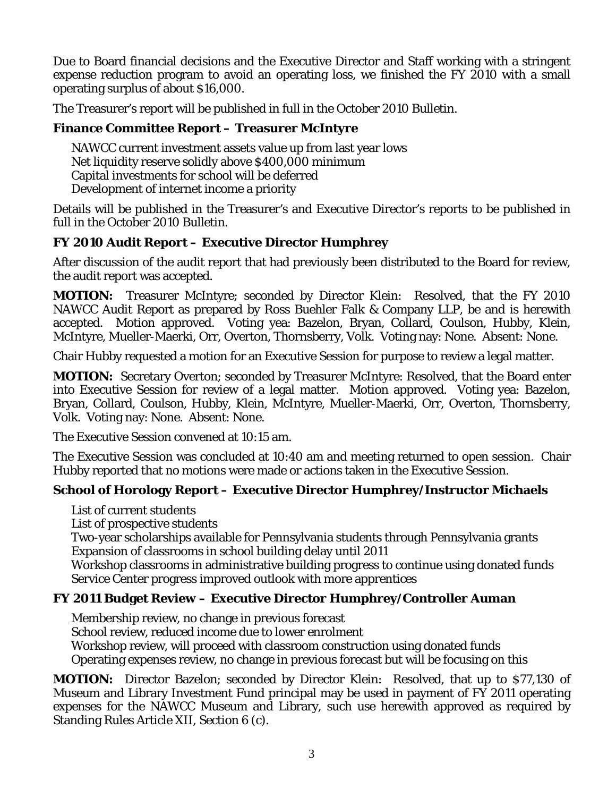Due to Board financial decisions and the Executive Director and Staff working with a stringent expense reduction program to avoid an operating loss, we finished the FY 2010 with a small operating surplus of about \$16,000.

The Treasurer's report will be published in full in the October 2010 *Bulletin.* 

# **Finance Committee Report – Treasurer McIntyre**

 NAWCC current investment assets value up from last year lows Net liquidity reserve solidly above \$400,000 minimum Capital investments for school will be deferred Development of internet income a priority

Details will be published in the Treasurer's and Executive Director's reports to be published in full in the October 2010 *Bulletin.*

# **FY 2010 Audit Report – Executive Director Humphrey**

After discussion of the audit report that had previously been distributed to the Board for review, the audit report was accepted.

**MOTION:** Treasurer McIntyre; seconded by Director Klein: Resolved, that the FY 2010 NAWCC Audit Report as prepared by Ross Buehler Falk & Company LLP, be and is herewith accepted. Motion approved. Voting yea: Bazelon, Bryan, Collard, Coulson, Hubby, Klein, McIntyre, Mueller-Maerki, Orr, Overton, Thornsberry, Volk. Voting nay: None. Absent: None.

Chair Hubby requested a motion for an Executive Session for purpose to review a legal matter.

**MOTION:** Secretary Overton; seconded by Treasurer McIntyre: Resolved, that the Board enter into Executive Session for review of a legal matter. Motion approved. Voting yea: Bazelon, Bryan, Collard, Coulson, Hubby, Klein, McIntyre, Mueller-Maerki, Orr, Overton, Thornsberry, Volk. Voting nay: None. Absent: None.

The Executive Session convened at 10:15 am.

The Executive Session was concluded at 10:40 am and meeting returned to open session. Chair Hubby reported that no motions were made or actions taken in the Executive Session.

# **School of Horology Report – Executive Director Humphrey/Instructor Michaels**

List of current students

List of prospective students

 Two-year scholarships available for Pennsylvania students through Pennsylvania grants Expansion of classrooms in school building delay until 2011

 Workshop classrooms in administrative building progress to continue using donated funds Service Center progress improved outlook with more apprentices

### **FY 2011 Budget Review – Executive Director Humphrey/Controller Auman**

Membership review, no change in previous forecast

School review, reduced income due to lower enrolment

Workshop review, will proceed with classroom construction using donated funds

Operating expenses review, no change in previous forecast but will be focusing on this

**MOTION:** Director Bazelon; seconded by Director Klein: Resolved, that up to \$77,130 of Museum and Library Investment Fund principal may be used in payment of FY 2011 operating expenses for the NAWCC Museum and Library, such use herewith approved as required by Standing Rules Article XII, Section 6 (c).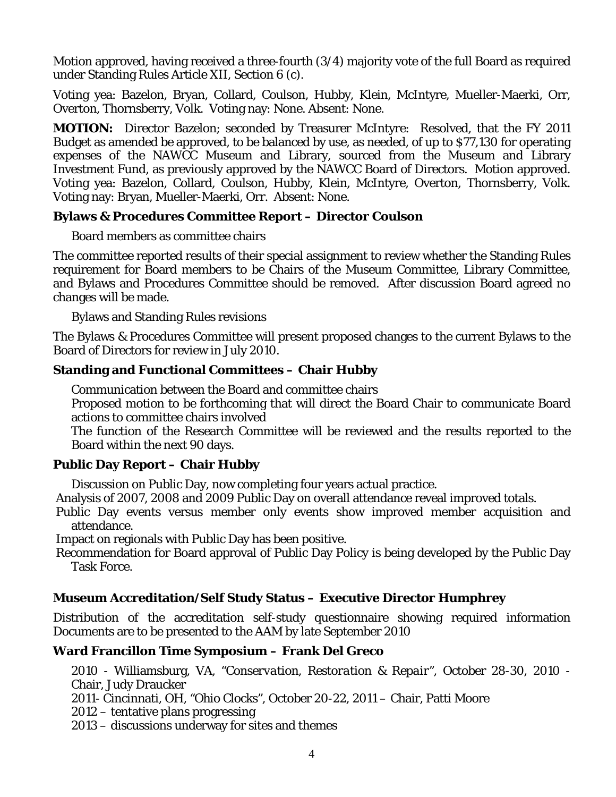Motion approved, having received a three-fourth (3/4) majority vote of the full Board as required under Standing Rules Article XII, Section 6 (c).

Voting yea: Bazelon, Bryan, Collard, Coulson, Hubby, Klein, McIntyre, Mueller-Maerki, Orr, Overton, Thornsberry, Volk. Voting nay: None. Absent: None.

**MOTION:** Director Bazelon; seconded by Treasurer McIntyre: Resolved, that the FY 2011 Budget as amended be approved, to be balanced by use, as needed, of up to \$77,130 for operating expenses of the NAWCC Museum and Library, sourced from the Museum and Library Investment Fund, as previously approved by the NAWCC Board of Directors. Motion approved. Voting yea: Bazelon, Collard, Coulson, Hubby, Klein, McIntyre, Overton, Thornsberry, Volk. Voting nay: Bryan, Mueller-Maerki, Orr. Absent: None.

### **Bylaws & Procedures Committee Report – Director Coulson**

Board members as committee chairs

The committee reported results of their special assignment to review whether the Standing Rules requirement for Board members to be Chairs of the Museum Committee, Library Committee, and Bylaws and Procedures Committee should be removed. After discussion Board agreed no changes will be made.

Bylaws and Standing Rules revisions

The Bylaws & Procedures Committee will present proposed changes to the current Bylaws to the Board of Directors for review in July 2010.

# **Standing and Functional Committees – Chair Hubby**

Communication between the Board and committee chairs

 Proposed motion to be forthcoming that will direct the Board Chair to communicate Board actions to committee chairs involved

 The function of the Research Committee will be reviewed and the results reported to the Board within the next 90 days.

# **Public Day Report – Chair Hubby**

Discussion on Public Day, now completing four years actual practice.

Analysis of 2007, 2008 and 2009 Public Day on overall attendance reveal improved totals.

 Public Day events versus member only events show improved member acquisition and attendance.

Impact on regionals with Public Day has been positive.

 Recommendation for Board approval of Public Day Policy is being developed by the Public Day Task Force.

# **Museum Accreditation/Self Study Status – Executive Director Humphrey**

Distribution of the accreditation self-study questionnaire showing required information Documents are to be presented to the AAM by late September 2010

# **Ward Francillon Time Symposium – Frank Del Greco**

 2010 - Williamsburg, VA, *"Conservation, Restoration & Repair",* October 28-30, 2010 - Chair, Judy Draucker

2011- Cincinnati, OH, *"Ohio Clocks",* October 20-22, 2011 – Chair, Patti Moore

2012 – tentative plans progressing

2013 – discussions underway for sites and themes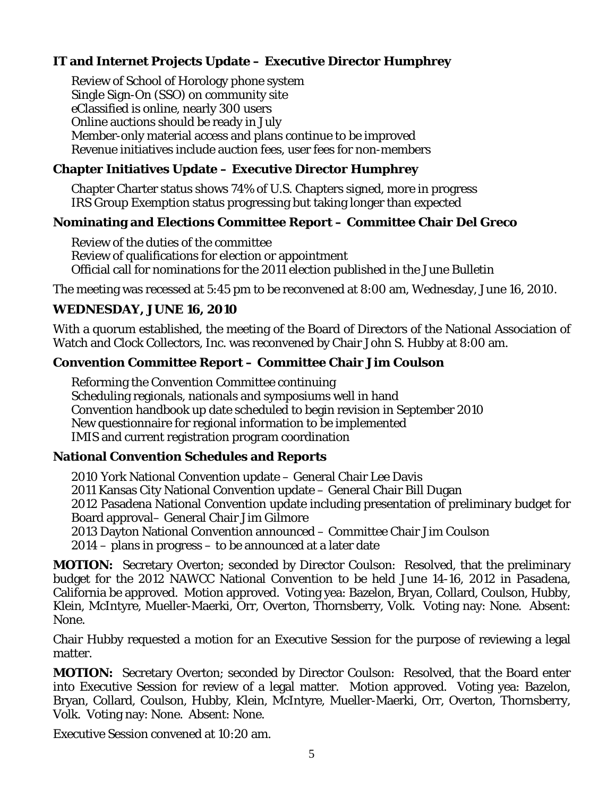# **IT and Internet Projects Update – Executive Director Humphrey**

 Review of School of Horology phone system Single Sign-On (SSO) on community site eClassified is online, nearly 300 users Online auctions should be ready in July Member-only material access and plans continue to be improved Revenue initiatives include auction fees, user fees for non-members

### **Chapter Initiatives Update – Executive Director Humphrey**

 Chapter Charter status shows 74% of U.S. Chapters signed, more in progress IRS Group Exemption status progressing but taking longer than expected

### **Nominating and Elections Committee Report – Committee Chair Del Greco**

 Review of the duties of the committee Review of qualifications for election or appointment Official call for nominations for the 2011 election published in the June *Bulletin*

The meeting was recessed at 5:45 pm to be reconvened at 8:00 am, Wednesday, June 16, 2010.

# **WEDNESDAY, JUNE 16, 2010**

With a quorum established, the meeting of the Board of Directors of the National Association of Watch and Clock Collectors, Inc. was reconvened by Chair John S. Hubby at 8:00 am.

### **Convention Committee Report – Committee Chair Jim Coulson**

 Reforming the Convention Committee continuing Scheduling regionals, nationals and symposiums well in hand Convention handbook up date scheduled to begin revision in September 2010 New questionnaire for regional information to be implemented IMIS and current registration program coordination

### **National Convention Schedules and Reports**

2010 York National Convention update – General Chair Lee Davis 2011 Kansas City National Convention update – General Chair Bill Dugan 2012 Pasadena National Convention update including presentation of preliminary budget for Board approval– General Chair Jim Gilmore 2013 Dayton National Convention announced – Committee Chair Jim Coulson 2014 – plans in progress – to be announced at a later date

**MOTION:** Secretary Overton; seconded by Director Coulson: Resolved, that the preliminary budget for the 2012 NAWCC National Convention to be held June 14-16, 2012 in Pasadena, California be approved. Motion approved. Voting yea: Bazelon, Bryan, Collard, Coulson, Hubby, Klein, McIntyre, Mueller-Maerki, Orr, Overton, Thornsberry, Volk. Voting nay: None. Absent: None.

Chair Hubby requested a motion for an Executive Session for the purpose of reviewing a legal matter.

**MOTION:** Secretary Overton; seconded by Director Coulson: Resolved, that the Board enter into Executive Session for review of a legal matter. Motion approved. Voting yea: Bazelon, Bryan, Collard, Coulson, Hubby, Klein, McIntyre, Mueller-Maerki, Orr, Overton, Thornsberry, Volk. Voting nay: None. Absent: None.

Executive Session convened at 10:20 am.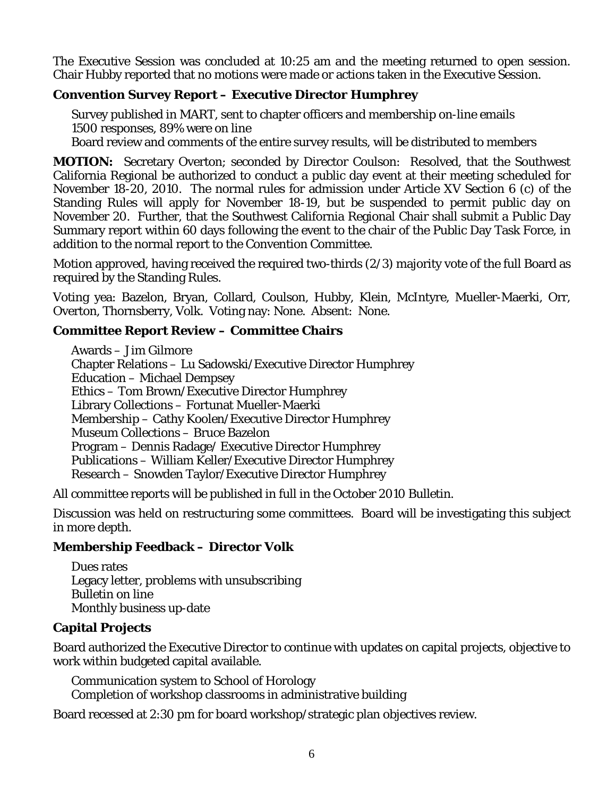The Executive Session was concluded at 10:25 am and the meeting returned to open session. Chair Hubby reported that no motions were made or actions taken in the Executive Session.

# **Convention Survey Report – Executive Director Humphrey**

 Survey published in MART, sent to chapter officers and membership on-line emails 1500 responses, 89% were on line Board review and comments of the entire survey results, will be distributed to members

**MOTION:** Secretary Overton; seconded by Director Coulson: Resolved, that the Southwest California Regional be authorized to conduct a public day event at their meeting scheduled for November 18-20, 2010. The normal rules for admission under Article XV Section 6 (c) of the Standing Rules will apply for November 18-19, but be suspended to permit public day on November 20. Further, that the Southwest California Regional Chair shall submit a Public Day Summary report within 60 days following the event to the chair of the Public Day Task Force, in addition to the normal report to the Convention Committee.

Motion approved, having received the required two-thirds (2/3) majority vote of the full Board as required by the Standing Rules.

Voting yea: Bazelon, Bryan, Collard, Coulson, Hubby, Klein, McIntyre, Mueller-Maerki, Orr, Overton, Thornsberry, Volk. Voting nay: None. Absent: None.

# **Committee Report Review – Committee Chairs**

 Awards – Jim Gilmore Chapter Relations – Lu Sadowski/Executive Director Humphrey Education – Michael Dempsey Ethics – Tom Brown/Executive Director Humphrey Library Collections – Fortunat Mueller-Maerki Membership – Cathy Koolen/Executive Director Humphrey Museum Collections – Bruce Bazelon Program – Dennis Radage/ Executive Director Humphrey Publications – William Keller/Executive Director Humphrey Research – Snowden Taylor/Executive Director Humphrey

All committee reports will be published in full in the October 2010 *Bulletin.*

Discussion was held on restructuring some committees. Board will be investigating this subject in more depth.

### **Membership Feedback – Director Volk**

 Dues rates Legacy letter, problems with unsubscribing *Bulletin* on line Monthly business up-date

### **Capital Projects**

Board authorized the Executive Director to continue with updates on capital projects, objective to work within budgeted capital available.

 Communication system to School of Horology Completion of workshop classrooms in administrative building

Board recessed at 2:30 pm for board workshop/strategic plan objectives review.